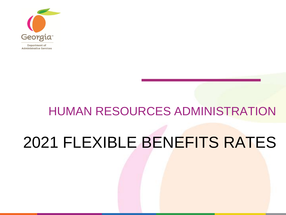

# HUMAN RESOURCES ADMINISTRATION 2021 FLEXIBLE BENEFITS RATES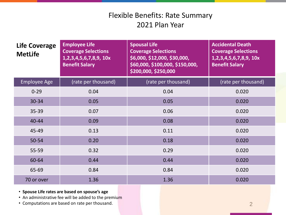| <b>Life Coverage</b><br><b>MetLife</b> | <b>Employee Life</b><br><b>Coverage Selections</b><br>1,2,3,4,5,6,7,8,9, 10x<br><b>Benefit Salary</b> | <b>Spousal Life</b><br><b>Coverage Selections</b><br>\$6,000, \$12,000, \$30,000,<br>\$60,000, \$100,000, \$150,000,<br>\$200,000, \$250,000 | <b>Accidental Death</b><br><b>Coverage Selections</b><br>1,2,3,4,5,6,7,8,9, 10x<br><b>Benefit Salary</b> |
|----------------------------------------|-------------------------------------------------------------------------------------------------------|----------------------------------------------------------------------------------------------------------------------------------------------|----------------------------------------------------------------------------------------------------------|
| <b>Employee Age</b>                    | (rate per thousand)                                                                                   | (rate per thousand)                                                                                                                          | (rate per thousand)                                                                                      |
| $0 - 29$                               | 0.04                                                                                                  | 0.04                                                                                                                                         | 0.020                                                                                                    |
| 30-34                                  | 0.05                                                                                                  | 0.05                                                                                                                                         | 0.020                                                                                                    |
| 35-39                                  | 0.07                                                                                                  | 0.06                                                                                                                                         | 0.020                                                                                                    |
| 40-44                                  | 0.09                                                                                                  | 0.08                                                                                                                                         | 0.020                                                                                                    |
| 45-49                                  | 0.13                                                                                                  | 0.11                                                                                                                                         | 0.020                                                                                                    |
| 50-54                                  | 0.20                                                                                                  | 0.18                                                                                                                                         | 0.020                                                                                                    |
| 55-59                                  | 0.32                                                                                                  | 0.29                                                                                                                                         | 0.020                                                                                                    |
| 60-64                                  | 0.44                                                                                                  | 0.44                                                                                                                                         | 0.020                                                                                                    |
| 65-69                                  | 0.84                                                                                                  | 0.84                                                                                                                                         | 0.020                                                                                                    |
| 70 or over                             | 1.36                                                                                                  | 1.36                                                                                                                                         | 0.020                                                                                                    |

- **Spouse Life rates are based on spouse's age**
- An administrative fee will be added to the premium
- Computations are based on rate per thousand.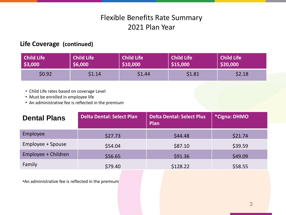#### **Life Coverage (continued)**

| Child Life | <b>Child Life</b> | <b>Child Life</b> | <b>Child Life</b> | Child Life |
|------------|-------------------|-------------------|-------------------|------------|
| \$3,000    | \$6,000           | \$10,000          | \$15,000          | \$20,000   |
| \$0.92     | \$1.14            | \$1.44            | \$1.81            | \$2.18     |

- Child Life rates based on coverage Level
- Must be enrolled in employee life
- An administrative fee is reflected in the premium

| <b>Dental Plans</b> | <b>Delta Dental: Select Plan</b> | <b>Delta Dental: Select Plus</b><br>Plan | *Cigna: DHMO |
|---------------------|----------------------------------|------------------------------------------|--------------|
| Employee            | \$27.73                          | \$44.48                                  | \$21.74      |
| Employee + Spouse   | \$54.04                          | \$87.10                                  | \$39.59      |
| Employee + Children | \$56.65                          | \$91.36                                  | \$49.09      |
| Family              | \$79.40                          | \$128.22                                 | \$58.55      |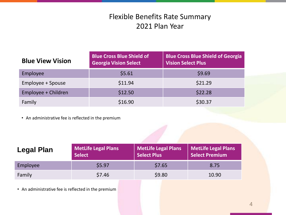| <b>Blue View Vision</b> | <b>Blue Cross Blue Shield of</b><br><b>Georgia Vision Select</b> | <b>Blue Cross Blue Shield of Georgia</b><br><b>Vision Select Plus</b> |
|-------------------------|------------------------------------------------------------------|-----------------------------------------------------------------------|
| Employee                | \$5.61                                                           | \$9.69                                                                |
| Employee + Spouse       | \$11.94                                                          | \$21.29                                                               |
| Employee + Children     | \$12.50                                                          | \$22.28                                                               |
| Family                  | \$16.90                                                          | \$30.37                                                               |

• An administrative fee is reflected in the premium

| Legal Plan | <b>MetLife Legal Plans</b><br><b>Select</b> | <b>MetLife Legal Plans</b><br><b>Select Plus</b> | <b>MetLife Legal Plans</b><br><b>Select Premium</b> |  |  |  |
|------------|---------------------------------------------|--------------------------------------------------|-----------------------------------------------------|--|--|--|
| Employee   | \$5.97                                      | \$7.65                                           | 8.75                                                |  |  |  |
| Family     | \$7.46                                      | \$9.80                                           | 10.90                                               |  |  |  |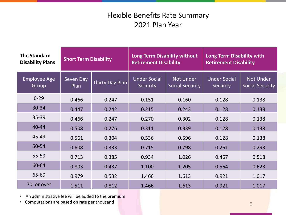| <b>The Standard</b><br><b>Disability Plans</b> | <b>Short Term Disability</b> |                 | <b>Long Term Disability without</b><br><b>Retirement Disability</b> |                                            | Long Term Disability with<br><b>Retirement Disability</b> |                                            |
|------------------------------------------------|------------------------------|-----------------|---------------------------------------------------------------------|--------------------------------------------|-----------------------------------------------------------|--------------------------------------------|
| <b>Employee Age</b><br>Group                   | Seven Day<br>Plan            | Thirty Day Plan | <b>Under Social</b><br>Security                                     | <b>Not Under</b><br><b>Social Security</b> | <b>Under Social</b><br>Security                           | <b>Not Under</b><br><b>Social Security</b> |
| $0 - 29$                                       | 0.466                        | 0.247           | 0.151                                                               | 0.160                                      | 0.128                                                     | 0.138                                      |
| 30-34                                          | 0.447                        | 0.242           | 0.215                                                               | 0.243                                      | 0.128                                                     | 0.138                                      |
| 35-39                                          | 0.466                        | 0.247           | 0.270                                                               | 0.302                                      | 0.128                                                     | 0.138                                      |
| $40 - 44$                                      | 0.508                        | 0.276           | 0.311                                                               | 0.339                                      | 0.128                                                     | 0.138                                      |
| 45-49                                          | 0.561                        | 0.304           | 0.536                                                               | 0.596                                      | 0.128                                                     | 0.138                                      |
| 50-54                                          | 0.608                        | 0.333           | 0.715                                                               | 0.798                                      | 0.261                                                     | 0.293                                      |
| 55-59                                          | 0.713                        | 0.385           | 0.934                                                               | 1.026                                      | 0.467                                                     | 0.518                                      |
| 60-64                                          | 0.803                        | 0.437           | 1.100                                                               | 1.205                                      | 0.564                                                     | 0.623                                      |
| 65-69                                          | 0.979                        | 0.532           | 1.466                                                               | 1.613                                      | 0.921                                                     | 1.017                                      |
| 70 or over                                     | 1.511                        | 0.812           | 1.466                                                               | 1.613                                      | 0.921                                                     | 1.017                                      |

• An administrative fee will be added to the premium

• Computations are based on rate per thousand 5 and 5 and 5 and 5 and 5 and 5 and 5 and 5 and 5 and 5 and 5 and 5 and 5 and 5 and 5 and 5 and 5 and 5 and 5 and 5 and 5 and 5 and 5 and 5 and 5 and 5 and 5 and 5 and 5 and 5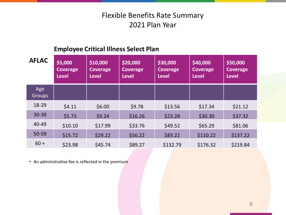## **Employee Critical Illness Select Plan**

| <b>AFLAC</b>         | \$5,000<br>Coverage<br><b>Level</b> | \$10,000<br><b>Coverage</b><br><b>Level</b> | \$20,000<br><b>Coverage</b><br><b>Level</b> | \$30,000<br><b>Coverage</b><br><b>Level</b> | \$40,000<br><b>Coverage</b><br><b>Level</b> | \$50,000<br>Coverage<br><b>Level</b> |
|----------------------|-------------------------------------|---------------------------------------------|---------------------------------------------|---------------------------------------------|---------------------------------------------|--------------------------------------|
| Age<br><b>Groups</b> |                                     |                                             |                                             |                                             |                                             |                                      |
| 18-29                | \$4.11                              | \$6.00                                      | \$9.78                                      | \$13.56                                     | \$17.34                                     | \$21.12                              |
| $30 - 39$            | \$5.73                              | \$9.24                                      | \$16.26                                     | \$23.28                                     | \$30.30                                     | \$37.32                              |
| 40-49                | \$10.10                             | \$17.99                                     | \$33.76                                     | \$49.52                                     | \$65.29                                     | \$81.06                              |
| 50-59                | \$15.72                             | \$29.22                                     | \$56.22                                     | \$83.22                                     | \$110.22                                    | \$137.22                             |
| $60 +$               | \$23.98                             | \$45.74                                     | \$89.27                                     | \$132.79                                    | \$176.32                                    | \$219.84                             |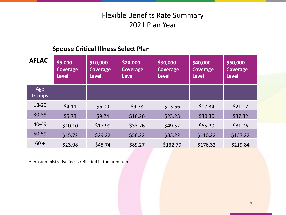#### **Spouse Critical Illness Select Plan**

| <b>AFLAC</b>         | \$5,000<br>Coverage<br><b>Level</b> | \$10,000<br><b>Coverage</b><br><b>Level</b> | \$20,000<br><b>Coverage</b><br><b>Level</b> | \$30,000<br><b>Coverage</b><br><b>Level</b> | \$40,000<br><b>Coverage</b><br><b>Level</b> | \$50,000<br>Coverage<br><b>Level</b> |
|----------------------|-------------------------------------|---------------------------------------------|---------------------------------------------|---------------------------------------------|---------------------------------------------|--------------------------------------|
| Age<br><b>Groups</b> |                                     |                                             |                                             |                                             |                                             |                                      |
| 18-29                | \$4.11                              | \$6.00                                      | \$9.78                                      | \$13.56                                     | \$17.34                                     | \$21.12                              |
| 30-39                | \$5.73                              | \$9.24                                      | \$16.26                                     | \$23.28                                     | \$30.30                                     | \$37.32                              |
| 40-49                | \$10.10                             | \$17.99                                     | \$33.76                                     | \$49.52                                     | \$65.29                                     | \$81.06                              |
| 50-59                | \$15.72                             | \$29.22                                     | \$56.22                                     | \$83.22                                     | \$110.22                                    | \$137.22                             |
| $60 +$               | \$23.98                             | \$45.74                                     | \$89.27                                     | \$132.79                                    | \$176.32                                    | \$219.84                             |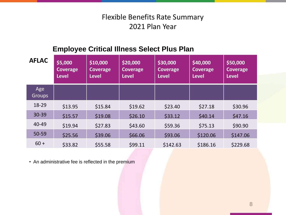## **Employee Critical Illness Select Plus Plan**

| <b>AFLAC</b>         | \$5,000<br>Coverage<br><b>Level</b> | \$10,000<br><b>Coverage</b><br><b>Level</b> | \$20,000<br><b>Coverage</b><br><b>Level</b> | \$30,000<br><b>Coverage</b><br><b>Level</b> | \$40,000<br><b>Coverage</b><br><b>Level</b> | \$50,000<br><b>Coverage</b><br><b>Level</b> |
|----------------------|-------------------------------------|---------------------------------------------|---------------------------------------------|---------------------------------------------|---------------------------------------------|---------------------------------------------|
| Age<br><b>Groups</b> |                                     |                                             |                                             |                                             |                                             |                                             |
| 18-29                | \$13.95                             | \$15.84                                     | \$19.62                                     | \$23.40                                     | \$27.18                                     | \$30.96                                     |
| 30-39                | \$15.57                             | \$19.08                                     | \$26.10                                     | \$33.12                                     | \$40.14                                     | \$47.16                                     |
| 40-49                | \$19.94                             | \$27.83                                     | \$43.60                                     | \$59.36                                     | \$75.13                                     | \$90.90                                     |
| 50-59                | \$25.56                             | \$39.06                                     | \$66.06                                     | \$93.06                                     | \$120.06                                    | \$147.06                                    |
| $60 +$               | \$33.82                             | \$55.58                                     | \$99.11                                     | \$142.63                                    | \$186.16                                    | \$229.68                                    |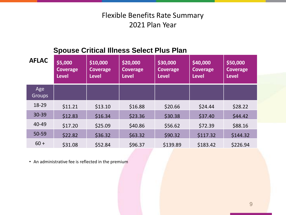## **Spouse Critical Illness Select Plus Plan**

| <b>AFLAC</b>         | \$5,000<br>Coverage<br><b>Level</b> | \$10,000<br><b>Coverage</b><br><b>Level</b> | \$20,000<br><b>Coverage</b><br><b>Level</b> | \$30,000<br><b>Coverage</b><br><b>Level</b> | \$40,000<br><b>Coverage</b><br><b>Level</b> | \$50,000<br><b>Coverage</b><br><b>Level</b> |
|----------------------|-------------------------------------|---------------------------------------------|---------------------------------------------|---------------------------------------------|---------------------------------------------|---------------------------------------------|
| Age<br><b>Groups</b> |                                     |                                             |                                             |                                             |                                             |                                             |
| 18-29                | \$11.21                             | \$13.10                                     | \$16.88                                     | \$20.66                                     | \$24.44                                     | \$28.22                                     |
| 30-39                | \$12.83                             | \$16.34                                     | \$23.36                                     | \$30.38                                     | \$37.40                                     | \$44.42                                     |
| 40-49                | \$17.20                             | \$25.09                                     | \$40.86                                     | \$56.62                                     | \$72.39                                     | \$88.16                                     |
| 50-59                | \$22.82                             | \$36.32                                     | \$63.32                                     | \$90.32                                     | \$117.32                                    | \$144.32                                    |
| $60 +$               | \$31.08                             | \$52.84                                     | \$96.37                                     | \$139.89                                    | \$183.42                                    | \$226.94                                    |